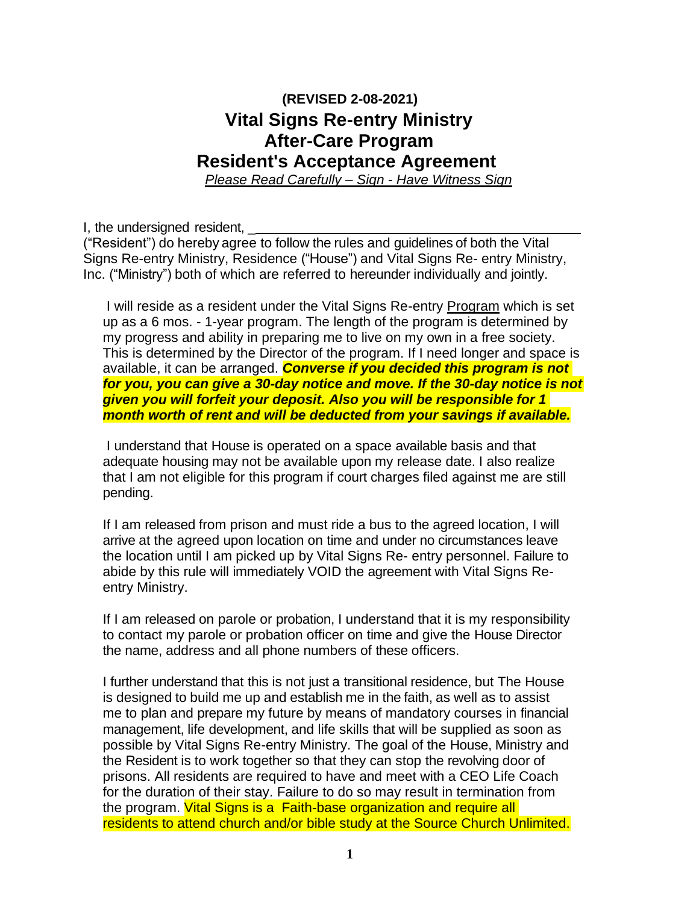# **(REVISED 2-08-2021) Vital Signs Re-entry Ministry After-Care Program Resident's Acceptance Agreement**

*Please Read Carefully – Sign - Have Witness Sign*

I, the undersigned resident,

("Resident") do hereby agree to follow the rules and guidelines of both the Vital Signs Re-entry Ministry, Residence ("House") and Vital Signs Re- entry Ministry, Inc. ("Ministry") both of which are referred to hereunder individually and jointly.

I will reside as a resident under the Vital Signs Re-entry **Program** which is set up as a 6 mos. - 1-year program. The length of the program is determined by my progress and ability in preparing me to live on my own in a free society. This is determined by the Director of the program. If I need longer and space is available, it can be arranged. *Converse if you decided this program is not for you, you can give a 30-day notice and move. If the 30-day notice is not given you will forfeit your deposit. Also you will be responsible for 1 month worth of rent and will be deducted from your savings if available.*

I understand that House is operated on a space available basis and that adequate housing may not be available upon my release date. I also realize that I am not eligible for this program if court charges filed against me are still pending.

If I am released from prison and must ride a bus to the agreed location, I will arrive at the agreed upon location on time and under no circumstances leave the location until I am picked up by Vital Signs Re- entry personnel. Failure to abide by this rule will immediately VOID the agreement with Vital Signs Reentry Ministry.

If I am released on parole or probation, I understand that it is my responsibility to contact my parole or probation officer on time and give the House Director the name, address and all phone numbers of these officers.

I further understand that this is not just a transitional residence, but The House is designed to build me up and establish me in the faith, as well as to assist me to plan and prepare my future by means of mandatory courses in financial management, life development, and life skills that will be supplied as soon as possible by Vital Signs Re-entry Ministry. The goal of the House, Ministry and the Resident is to work together so that they can stop the revolving door of prisons. All residents are required to have and meet with a CEO Life Coach for the duration of their stay. Failure to do so may result in termination from the program. Vital Signs is a Faith-base organization and require all residents to attend church and/or bible study at the Source Church Unlimited.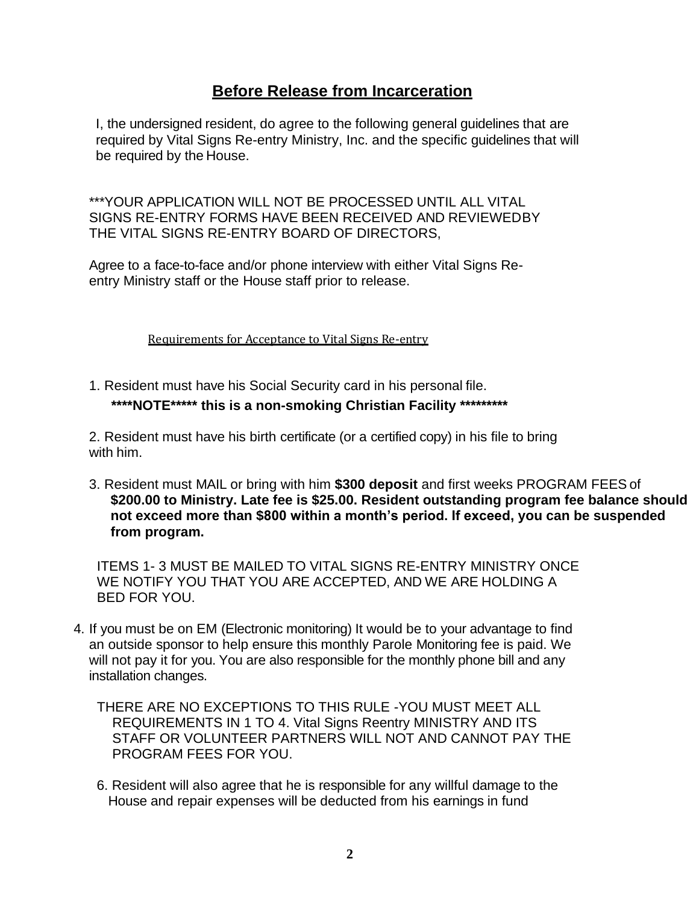### **Before Release from Incarceration**

I, the undersigned resident, do agree to the following general guidelines that are required by Vital Signs Re-entry Ministry, Inc. and the specific guidelines that will be required by the House.

\*\*\*YOUR APPLICATION WILL NOT BE PROCESSED UNTIL ALL VITAL SIGNS RE-ENTRY FORMS HAVE BEEN RECEIVED AND REVIEWEDBY THE VITAL SIGNS RE-ENTRY BOARD OF DIRECTORS,

Agree to a face-to-face and/or phone interview with either Vital Signs Reentry Ministry staff or the House staff prior to release.

Requirements for Acceptance to Vital Signs Re-entry

1. Resident must have his Social Security card in his personal file. **\*\*\*\*NOTE\*\*\*\*\* this is a non-smoking Christian Facility \*\*\*\*\*\*\*\*\***

2. Resident must have his birth certificate (or a certified copy) in his file to bring with him.

3. Resident must MAIL or bring with him **\$300 deposit** and first weeks PROGRAM FEES of **\$200.00 to Ministry. Late fee is \$25.00. Resident outstanding program fee balance should not exceed more than \$800 within a month's period. If exceed, you can be suspended from program.**

ITEMS 1- 3 MUST BE MAILED TO VITAL SIGNS RE-ENTRY MINISTRY ONCE WE NOTIFY YOU THAT YOU ARE ACCEPTED, AND WE ARE HOLDING A BED FOR YOU.

4. If you must be on EM (Electronic monitoring) It would be to your advantage to find an outside sponsor to help ensure this monthly Parole Monitoring fee is paid. We will not pay it for you. You are also responsible for the monthly phone bill and any installation changes.

THERE ARE NO EXCEPTIONS TO THIS RULE -YOU MUST MEET ALL REQUIREMENTS IN 1 TO 4. Vital Signs Reentry MINISTRY AND ITS STAFF OR VOLUNTEER PARTNERS WILL NOT AND CANNOT PAY THE PROGRAM FEES FOR YOU.

6. Resident will also agree that he is responsible for any willful damage to the House and repair expenses will be deducted from his earnings in fund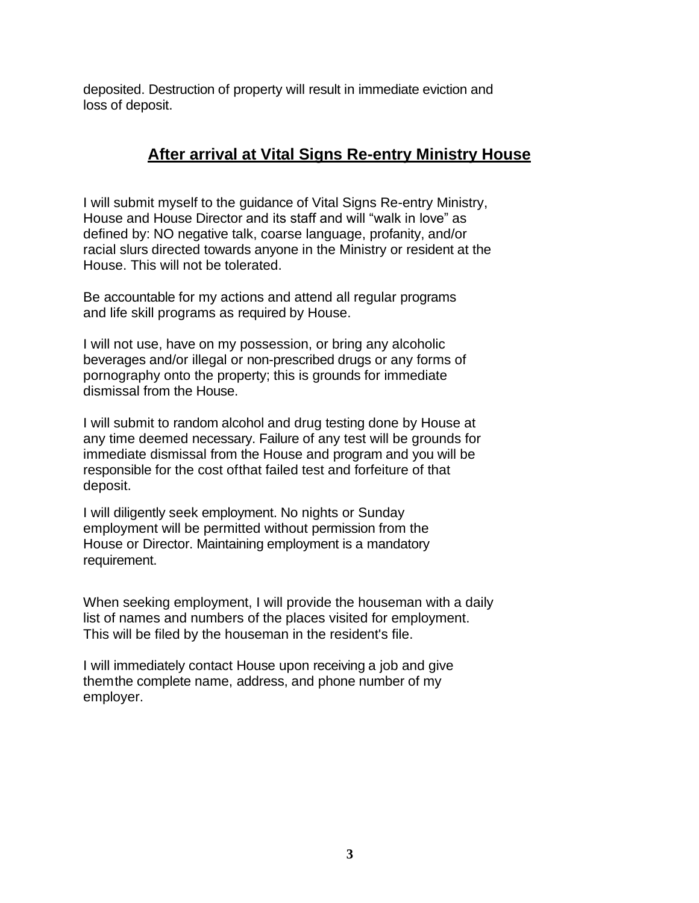deposited. Destruction of property will result in immediate eviction and loss of deposit.

## **After arrival at Vital Signs Re-entry Ministry House**

I will submit myself to the guidance of Vital Signs Re-entry Ministry, House and House Director and its staff and will "walk in love" as defined by: NO negative talk, coarse language, profanity, and/or racial slurs directed towards anyone in the Ministry or resident at the House. This will not be tolerated.

Be accountable for my actions and attend all regular programs and life skill programs as required by House.

I will not use, have on my possession, or bring any alcoholic beverages and/or illegal or non-prescribed drugs or any forms of pornography onto the property; this is grounds for immediate dismissal from the House.

I will submit to random alcohol and drug testing done by House at any time deemed necessary. Failure of any test will be grounds for immediate dismissal from the House and program and you will be responsible for the cost ofthat failed test and forfeiture of that deposit.

I will diligently seek employment. No nights or Sunday employment will be permitted without permission from the House or Director. Maintaining employment is a mandatory requirement.

When seeking employment, I will provide the houseman with a daily list of names and numbers of the places visited for employment. This will be filed by the houseman in the resident's file.

I will immediately contact House upon receiving a job and give themthe complete name, address, and phone number of my employer.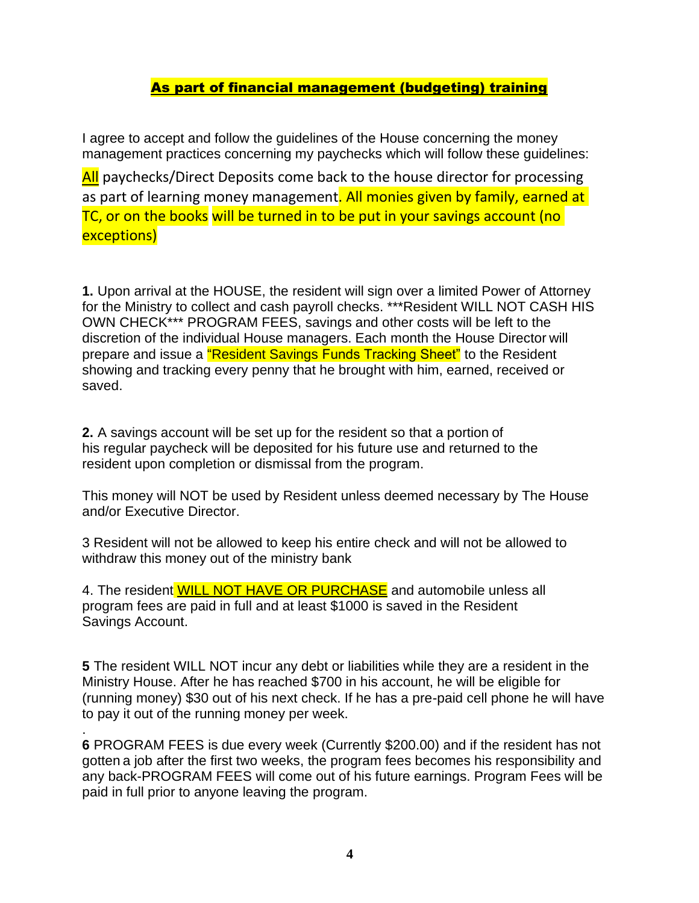#### As part of financial management (budgeting) training

I agree to accept and follow the guidelines of the House concerning the money management practices concerning my paychecks which will follow these guidelines:

**All** paychecks/Direct Deposits come back to the house director for processing as part of learning money management. All monies given by family, earned at TC, or on the books will be turned in to be put in your savings account (no exceptions)

**1.** Upon arrival at the HOUSE, the resident will sign over a limited Power of Attorney for the Ministry to collect and cash payroll checks. \*\*\*Resident WILL NOT CASH HIS OWN CHECK\*\*\* PROGRAM FEES, savings and other costs will be left to the discretion of the individual House managers. Each month the House Director will prepare and issue a "Resident Savings Funds Tracking Sheet" to the Resident showing and tracking every penny that he brought with him, earned, received or saved.

**2.** A savings account will be set up for the resident so that a portion of his regular paycheck will be deposited for his future use and returned to the resident upon completion or dismissal from the program.

This money will NOT be used by Resident unless deemed necessary by The House and/or Executive Director.

3 Resident will not be allowed to keep his entire check and will not be allowed to withdraw this money out of the ministry bank

4. The resident WILL NOT HAVE OR PURCHASE and automobile unless all program fees are paid in full and at least \$1000 is saved in the Resident Savings Account.

.

**5** The resident WILL NOT incur any debt or liabilities while they are a resident in the Ministry House. After he has reached \$700 in his account, he will be eligible for (running money) \$30 out of his next check. If he has a pre-paid cell phone he will have to pay it out of the running money per week.

**6** PROGRAM FEES is due every week (Currently \$200.00) and if the resident has not gotten a job after the first two weeks, the program fees becomes his responsibility and any back-PROGRAM FEES will come out of his future earnings. Program Fees will be paid in full prior to anyone leaving the program.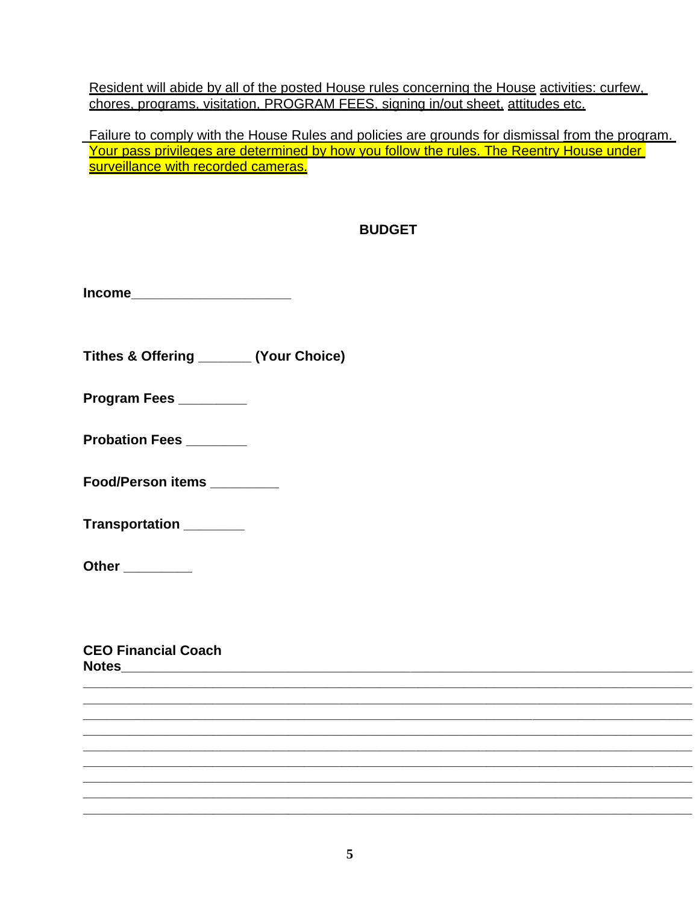Resident will abide by all of the posted House rules concerning the House activities: curfew, chores, programs, visitation, PROGRAM FEES, signing in/out sheet, attitudes etc.

Failure to comply with the House Rules and policies are grounds for dismissal from the program. Your pass privileges are determined by how you follow the rules. The Reentry House under surveillance with recorded cameras.

#### **BUDGET**

**Income\_\_\_\_\_\_\_\_\_\_\_\_\_\_\_\_\_\_\_\_\_**

**Tithes & Offering \_\_\_\_\_\_\_ (Your Choice)**

**Program Fees \_\_\_\_\_\_\_\_\_**

**Probation Fees \_\_\_\_\_\_\_\_**

**Food/Person items \_\_\_\_\_\_\_\_\_**

**Transportation \_\_\_\_\_\_\_\_**

**Other \_\_\_\_\_\_\_\_\_**

| <b>CEO Financial Coach</b> |  |  |
|----------------------------|--|--|
| <b>Notes</b>               |  |  |

**\_\_\_\_\_\_\_\_\_\_\_\_\_\_\_\_\_\_\_\_\_\_\_\_\_\_\_\_\_\_\_\_\_\_\_\_\_\_\_\_\_\_\_\_\_\_\_\_\_\_\_\_\_\_\_\_\_\_\_\_\_\_\_\_\_\_\_\_\_\_\_\_\_\_\_\_\_\_\_\_ \_\_\_\_\_\_\_\_\_\_\_\_\_\_\_\_\_\_\_\_\_\_\_\_\_\_\_\_\_\_\_\_\_\_\_\_\_\_\_\_\_\_\_\_\_\_\_\_\_\_\_\_\_\_\_\_\_\_\_\_\_\_\_\_\_\_\_\_\_\_\_\_\_\_\_\_\_\_\_\_ \_\_\_\_\_\_\_\_\_\_\_\_\_\_\_\_\_\_\_\_\_\_\_\_\_\_\_\_\_\_\_\_\_\_\_\_\_\_\_\_\_\_\_\_\_\_\_\_\_\_\_\_\_\_\_\_\_\_\_\_\_\_\_\_\_\_\_\_\_\_\_\_\_\_\_\_\_\_\_\_ \_\_\_\_\_\_\_\_\_\_\_\_\_\_\_\_\_\_\_\_\_\_\_\_\_\_\_\_\_\_\_\_\_\_\_\_\_\_\_\_\_\_\_\_\_\_\_\_\_\_\_\_\_\_\_\_\_\_\_\_\_\_\_\_\_\_\_\_\_\_\_\_\_\_\_\_\_\_\_\_ \_\_\_\_\_\_\_\_\_\_\_\_\_\_\_\_\_\_\_\_\_\_\_\_\_\_\_\_\_\_\_\_\_\_\_\_\_\_\_\_\_\_\_\_\_\_\_\_\_\_\_\_\_\_\_\_\_\_\_\_\_\_\_\_\_\_\_\_\_\_\_\_\_\_\_\_\_\_\_\_ \_\_\_\_\_\_\_\_\_\_\_\_\_\_\_\_\_\_\_\_\_\_\_\_\_\_\_\_\_\_\_\_\_\_\_\_\_\_\_\_\_\_\_\_\_\_\_\_\_\_\_\_\_\_\_\_\_\_\_\_\_\_\_\_\_\_\_\_\_\_\_\_\_\_\_\_\_\_\_\_ \_\_\_\_\_\_\_\_\_\_\_\_\_\_\_\_\_\_\_\_\_\_\_\_\_\_\_\_\_\_\_\_\_\_\_\_\_\_\_\_\_\_\_\_\_\_\_\_\_\_\_\_\_\_\_\_\_\_\_\_\_\_\_\_\_\_\_\_\_\_\_\_\_\_\_\_\_\_\_\_ \_\_\_\_\_\_\_\_\_\_\_\_\_\_\_\_\_\_\_\_\_\_\_\_\_\_\_\_\_\_\_\_\_\_\_\_\_\_\_\_\_\_\_\_\_\_\_\_\_\_\_\_\_\_\_\_\_\_\_\_\_\_\_\_\_\_\_\_\_\_\_\_\_\_\_\_\_\_\_\_ \_\_\_\_\_\_\_\_\_\_\_\_\_\_\_\_\_\_\_\_\_\_\_\_\_\_\_\_\_\_\_\_\_\_\_\_\_\_\_\_\_\_\_\_\_\_\_\_\_\_\_\_\_\_\_\_\_\_\_\_\_\_\_\_\_\_\_\_\_\_\_\_\_\_\_\_\_\_\_\_**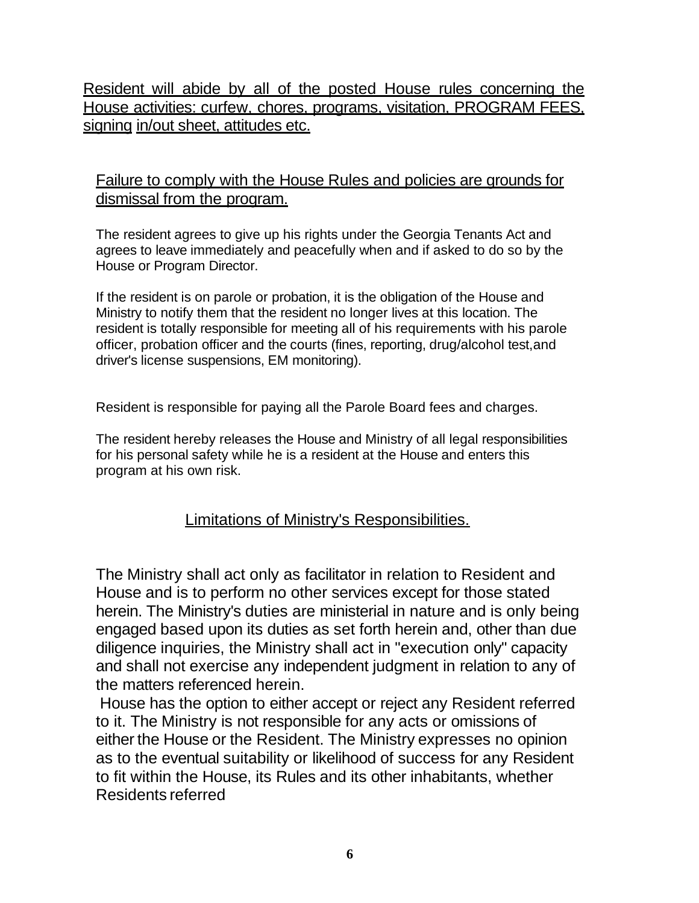Resident will abide by all of the posted House rules concerning the House activities: curfew, chores, programs, visitation, PROGRAM FEES, signing in/out sheet, attitudes etc.

## Failure to comply with the House Rules and policies are grounds for dismissal from the program.

The resident agrees to give up his rights under the Georgia Tenants Act and agrees to leave immediately and peacefully when and if asked to do so by the House or Program Director.

If the resident is on parole or probation, it is the obligation of the House and Ministry to notify them that the resident no longer lives at this location. The resident is totally responsible for meeting all of his requirements with his parole officer, probation officer and the courts (fines, reporting, drug/alcohol test,and driver's license suspensions, EM monitoring).

Resident is responsible for paying all the Parole Board fees and charges.

The resident hereby releases the House and Ministry of all legal responsibilities for his personal safety while he is a resident at the House and enters this program at his own risk.

### Limitations of Ministry's Responsibilities.

The Ministry shall act only as facilitator in relation to Resident and House and is to perform no other services except for those stated herein. The Ministry's duties are ministerial in nature and is only being engaged based upon its duties as set forth herein and, other than due diligence inquiries, the Ministry shall act in "execution only" capacity and shall not exercise any independent judgment in relation to any of the matters referenced herein.

House has the option to either accept or reject any Resident referred to it. The Ministry is not responsible for any acts or omissions of either the House or the Resident. The Ministry expresses no opinion as to the eventual suitability or likelihood of success for any Resident to fit within the House, its Rules and its other inhabitants, whether Residents referred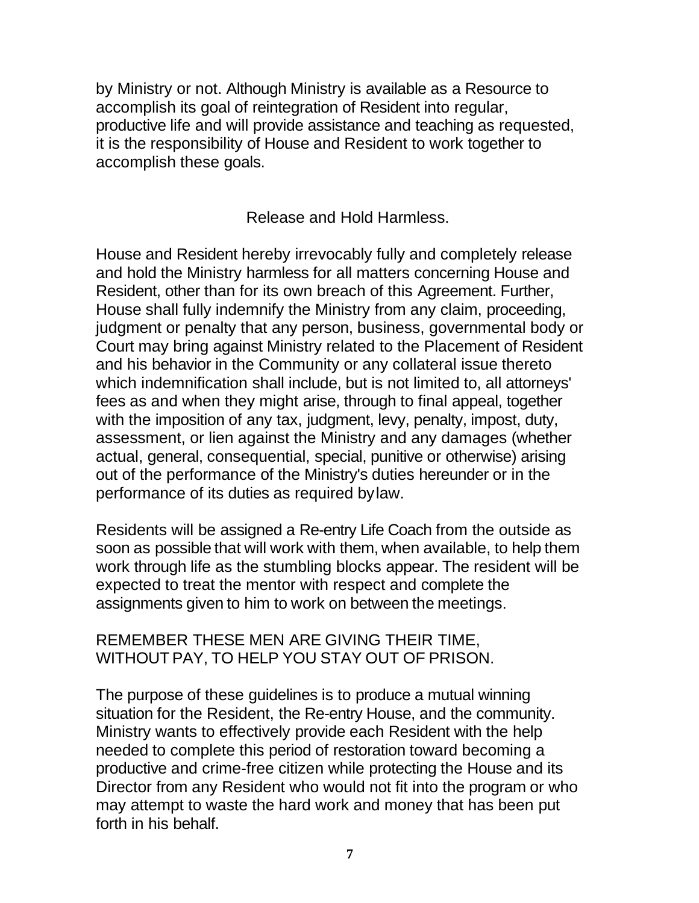by Ministry or not. Although Ministry is available as a Resource to accomplish its goal of reintegration of Resident into regular, productive life and will provide assistance and teaching as requested, it is the responsibility of House and Resident to work together to accomplish these goals.

Release and Hold Harmless.

House and Resident hereby irrevocably fully and completely release and hold the Ministry harmless for all matters concerning House and Resident, other than for its own breach of this Agreement. Further, House shall fully indemnify the Ministry from any claim, proceeding, judgment or penalty that any person, business, governmental body or Court may bring against Ministry related to the Placement of Resident and his behavior in the Community or any collateral issue thereto which indemnification shall include, but is not limited to, all attorneys' fees as and when they might arise, through to final appeal, together with the imposition of any tax, judgment, levy, penalty, impost, duty, assessment, or lien against the Ministry and any damages (whether actual, general, consequential, special, punitive or otherwise) arising out of the performance of the Ministry's duties hereunder or in the performance of its duties as required bylaw.

Residents will be assigned a Re-entry Life Coach from the outside as soon as possible that will work with them, when available, to help them work through life as the stumbling blocks appear. The resident will be expected to treat the mentor with respect and complete the assignments given to him to work on between the meetings.

## REMEMBER THESE MEN ARE GIVING THEIR TIME, WITHOUT PAY, TO HELP YOU STAY OUT OF PRISON.

The purpose of these guidelines is to produce a mutual winning situation for the Resident, the Re-entry House, and the community. Ministry wants to effectively provide each Resident with the help needed to complete this period of restoration toward becoming a productive and crime-free citizen while protecting the House and its Director from any Resident who would not fit into the program or who may attempt to waste the hard work and money that has been put forth in his behalf.